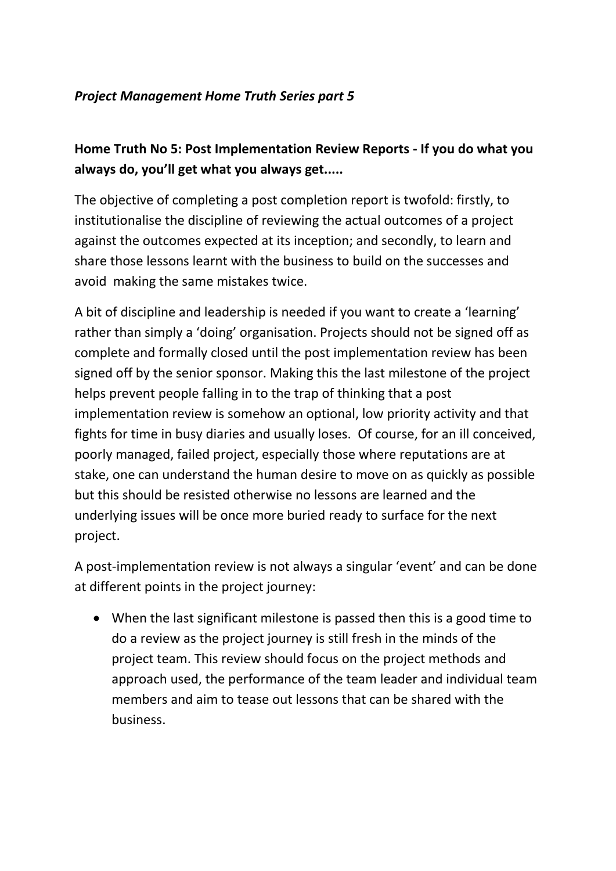## *Project Management Home Truth Series part 5*

## **Home Truth No 5: Post Implementation Review Reports - If you do what you always do, you'll get what you always get.....**

The objective of completing a post completion report is twofold: firstly, to institutionalise the discipline of reviewing the actual outcomes of a project against the outcomes expected at its inception; and secondly, to learn and share those lessons learnt with the business to build on the successes and avoid making the same mistakes twice.

A bit of discipline and leadership is needed if you want to create a 'learning' rather than simply a 'doing' organisation. Projects should not be signed off as complete and formally closed until the post implementation review has been signed off by the senior sponsor. Making this the last milestone of the project helps prevent people falling in to the trap of thinking that a post implementation review is somehow an optional, low priority activity and that fights for time in busy diaries and usually loses. Of course, for an ill conceived, poorly managed, failed project, especially those where reputations are at stake, one can understand the human desire to move on as quickly as possible but this should be resisted otherwise no lessons are learned and the underlying issues will be once more buried ready to surface for the next project.

A post-implementation review is not always a singular 'event' and can be done at different points in the project journey:

 When the last significant milestone is passed then this is a good time to do a review as the project journey is still fresh in the minds of the project team. This review should focus on the project methods and approach used, the performance of the team leader and individual team members and aim to tease out lessons that can be shared with the business.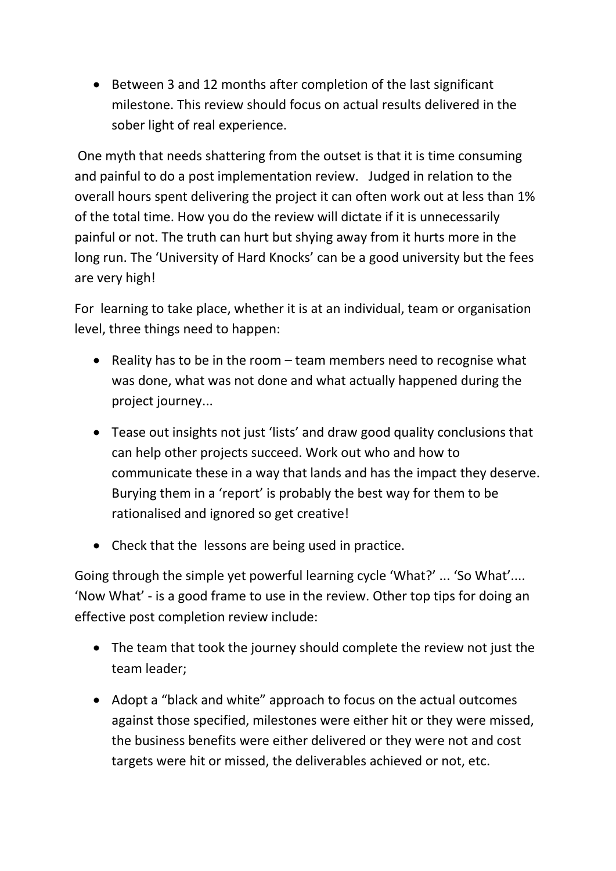Between 3 and 12 months after completion of the last significant milestone. This review should focus on actual results delivered in the sober light of real experience.

One myth that needs shattering from the outset is that it is time consuming and painful to do a post implementation review. Judged in relation to the overall hours spent delivering the project it can often work out at less than 1% of the total time. How you do the review will dictate if it is unnecessarily painful or not. The truth can hurt but shying away from it hurts more in the long run. The 'University of Hard Knocks' can be a good university but the fees are very high!

For learning to take place, whether it is at an individual, team or organisation level, three things need to happen:

- Reality has to be in the room  $-$  team members need to recognise what was done, what was not done and what actually happened during the project journey...
- Tease out insights not just 'lists' and draw good quality conclusions that can help other projects succeed. Work out who and how to communicate these in a way that lands and has the impact they deserve. Burying them in a 'report' is probably the best way for them to be rationalised and ignored so get creative!
- Check that the lessons are being used in practice.

Going through the simple yet powerful learning cycle 'What?' ... 'So What'.... 'Now What' - is a good frame to use in the review. Other top tips for doing an effective post completion review include:

- The team that took the journey should complete the review not just the team leader;
- Adopt a "black and white" approach to focus on the actual outcomes against those specified, milestones were either hit or they were missed, the business benefits were either delivered or they were not and cost targets were hit or missed, the deliverables achieved or not, etc.